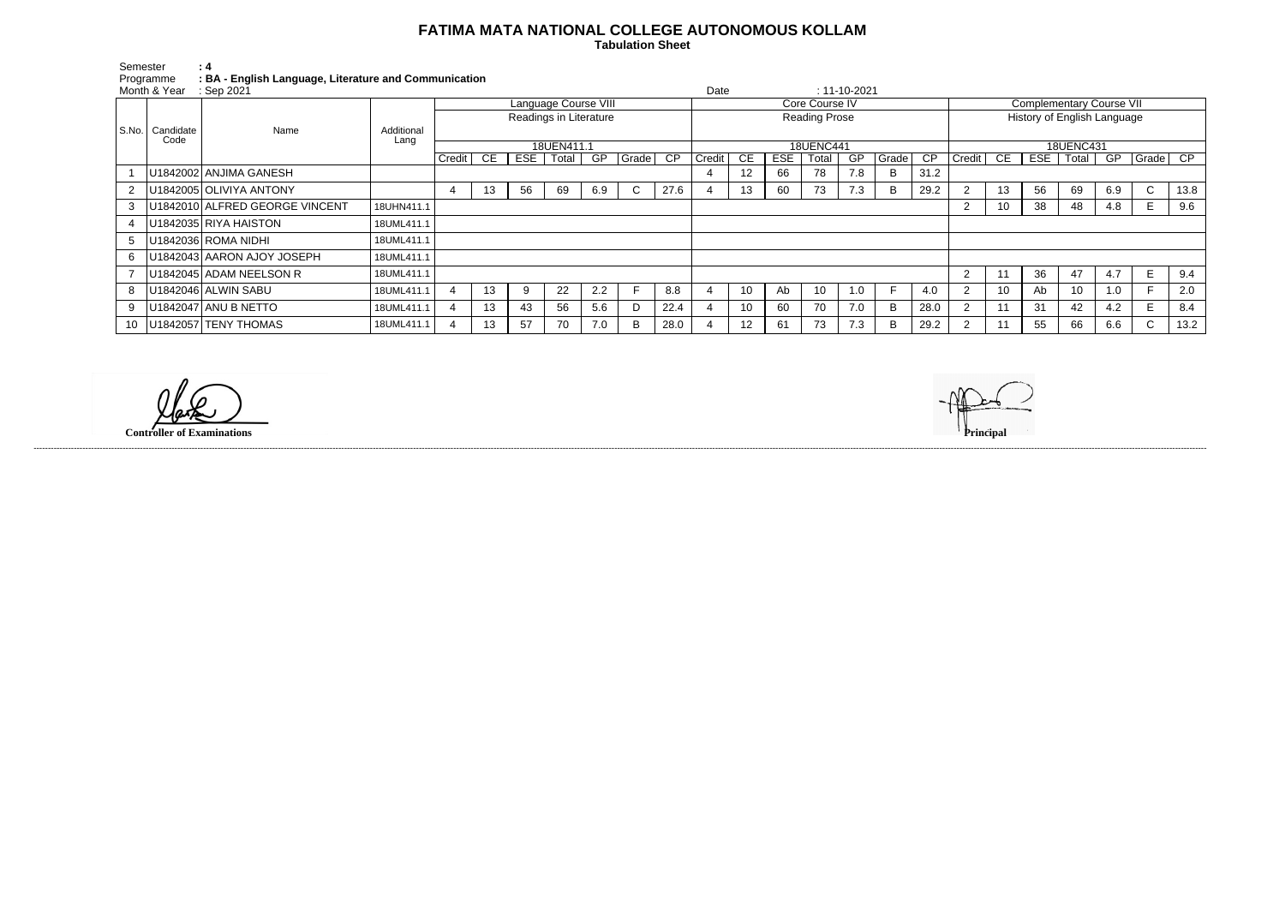## **FATIMA MATA NATIONAL COLLEGE AUTONOMOUS KOLLAM**

 **Tabulation Sheet** 

| Semester                | $\pm$ 4                                               |
|-------------------------|-------------------------------------------------------|
| Programme               | : BA - English Language, Literature and Communication |
| Month & Year : Sep 2021 |                                                       |

| Month & Year<br>: Sep 2021 |                                          |            |                        |    |     |       |     |       |                 |                  |                      |            |       | $: 11 - 10 - 2021$ |       |      |                  |                                 |            |       |     |              |      |
|----------------------------|------------------------------------------|------------|------------------------|----|-----|-------|-----|-------|-----------------|------------------|----------------------|------------|-------|--------------------|-------|------|------------------|---------------------------------|------------|-------|-----|--------------|------|
|                            |                                          |            | Language Course VIII   |    |     |       |     |       |                 | Core Course IV   |                      |            |       |                    |       |      |                  | <b>Complementary Course VII</b> |            |       |     |              |      |
| S.No.                      |                                          |            | Readings in Literature |    |     |       |     |       |                 |                  | <b>Reading Prose</b> |            |       |                    |       |      |                  | History of English Language     |            |       |     |              |      |
|                            | Candidate<br>Name                        | Additional |                        |    |     |       |     |       |                 |                  |                      |            |       |                    |       |      |                  |                                 |            |       |     |              |      |
|                            | Code                                     | Lang       | 18UEN411.1             |    |     |       |     |       |                 | <b>18UENC441</b> |                      |            |       |                    |       |      | <b>18UENC431</b> |                                 |            |       |     |              |      |
|                            |                                          |            | Credit                 | CE | ESE | Total | GP  | Grade | $\overline{CP}$ | Credit           | CE                   | <b>ESE</b> | Total | GP.                | Grade | CP   | Credit           | CE                              | <b>ESE</b> | Total | GP  | Grade CP     |      |
|                            | U1842002 ANJIMA GANESH                   |            |                        |    |     |       |     |       |                 |                  | 12                   | 66         | 78    | 7.8                | B     | 31.2 |                  |                                 |            |       |     |              |      |
| $2^{\circ}$                | U1842005 OLIVIYA ANTONY                  |            | 4                      | 13 | 56  | 69    | 6.9 | C     | 27.6            |                  | 13                   | 60         | 73    | 7.3                | B     | 29.2 |                  | 13                              | 56         | 69    | 6.9 | $\mathsf{C}$ | 13.8 |
| 3                          | U1842010 ALFRED GEORGE VINCENT           | 18UHN411.1 |                        |    |     |       |     |       |                 |                  |                      |            |       |                    |       |      | ∠                | 10                              | 38         | 48    | 4.8 |              | 9.6  |
|                            | U1842035 RIYA HAISTON                    | 18UML411.1 |                        |    |     |       |     |       |                 |                  |                      |            |       |                    |       |      |                  |                                 |            |       |     |              |      |
| 5 <sub>5</sub>             | U1842036 ROMA NIDHI                      | 18UML411.1 |                        |    |     |       |     |       |                 |                  |                      |            |       |                    |       |      |                  |                                 |            |       |     |              |      |
| 6                          | U1842043 AARON AJOY JOSEPH<br>18UML411.1 |            |                        |    |     |       |     |       |                 |                  |                      |            |       |                    |       |      |                  |                                 |            |       |     |              |      |
|                            | U1842045 ADAM NEELSON R                  | 18UML411.1 |                        |    |     |       |     |       |                 |                  |                      |            |       |                    |       |      | $\overline{2}$   |                                 | 36         | 47    | 4.7 |              | 9.4  |
| 8                          | U1842046 ALWIN SABU                      | 18UML411.1 |                        | 13 | 9   | 22    | 2.2 |       | 8.8             |                  | 10                   | Ab         | 10    | 1.0                |       | 4.0  | $\sim$           | 10 <sup>1</sup>                 | Ab         | 10    | 1.0 |              | 2.0  |
| 9                          | U1842047 ANU B NETTO                     | 18UML411.1 |                        | 13 | 43  | 56    | 5.6 |       | 22.4            |                  | 10                   | 60         | 70    | 7.0                | B     | 28.0 |                  |                                 | 31         | 42    | 4.2 |              | 8.4  |
| $10-1$                     | U1842057 TENY THOMAS                     | 18UML411.1 |                        | 13 | 57  | 70    | 7.0 | B     | 28.0            |                  | 12                   | 61         | 73    | 7.3                | B     | 29.2 | $\sim$           |                                 | 55         | 66    | 6.6 | $\sim$<br>◡  | 13.2 |

------------------------------------------------------------------------------------------------------------------------------------------------------------------------------------------------------------------------------------------------------------------------------------------------------------------------------------------------------------------------------------------------------------------------

**Controller of Examinations**